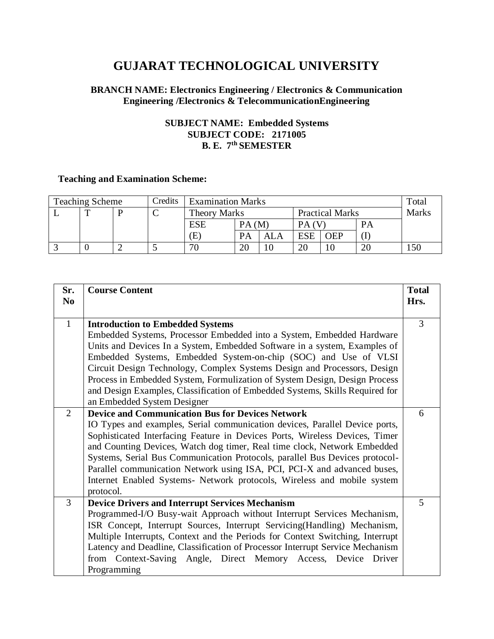# **GUJARAT TECHNOLOGICAL UNIVERSITY**

## **BRANCH NAME: Electronics Engineering / Electronics & Communication Engineering /Electronics & TelecommunicationEngineering**

## **SUBJECT NAME: Embedded Systems SUBJECT CODE: 2171005 B. E. 7 th SEMESTER**

## **Teaching and Examination Scheme:**

| <b>Teaching Scheme</b> |   |  | Credits | <b>Examination Marks</b> |           |            |                        |            |              | Total |
|------------------------|---|--|---------|--------------------------|-----------|------------|------------------------|------------|--------------|-------|
|                        | m |  | ◡       | <b>Theory Marks</b>      |           |            | <b>Practical Marks</b> |            | <b>Marks</b> |       |
|                        |   |  |         | ESE                      | PA(M)     |            | PА                     |            | PA           |       |
|                        |   |  |         | E)                       | <b>PA</b> | <b>ALA</b> | <b>ESE</b>             | <b>OEP</b> |              |       |
|                        |   |  |         | 70                       | 20        | 10         | 20                     |            | 20           | 50ء   |

| Sr.<br>N <sub>0</sub> | <b>Course Content</b>                                                                                                                                                                                                                                                                                                                                                                                                                                                                                                                                | <b>Total</b><br>Hrs. |
|-----------------------|------------------------------------------------------------------------------------------------------------------------------------------------------------------------------------------------------------------------------------------------------------------------------------------------------------------------------------------------------------------------------------------------------------------------------------------------------------------------------------------------------------------------------------------------------|----------------------|
| $\mathbf{1}$          | <b>Introduction to Embedded Systems</b><br>Embedded Systems, Processor Embedded into a System, Embedded Hardware<br>Units and Devices In a System, Embedded Software in a system, Examples of<br>Embedded Systems, Embedded System-on-chip (SOC) and Use of VLSI<br>Circuit Design Technology, Complex Systems Design and Processors, Design<br>Process in Embedded System, Formulization of System Design, Design Process<br>and Design Examples, Classification of Embedded Systems, Skills Required for<br>an Embedded System Designer            | $\overline{3}$       |
| 2                     | <b>Device and Communication Bus for Devices Network</b><br>IO Types and examples, Serial communication devices, Parallel Device ports,<br>Sophisticated Interfacing Feature in Devices Ports, Wireless Devices, Timer<br>and Counting Devices, Watch dog timer, Real time clock, Network Embedded<br>Systems, Serial Bus Communication Protocols, parallel Bus Devices protocol-<br>Parallel communication Network using ISA, PCI, PCI-X and advanced buses,<br>Internet Enabled Systems- Network protocols, Wireless and mobile system<br>protocol. | 6                    |
| $\overline{3}$        | <b>Device Drivers and Interrupt Services Mechanism</b><br>Programmed-I/O Busy-wait Approach without Interrupt Services Mechanism,<br>ISR Concept, Interrupt Sources, Interrupt Servicing(Handling) Mechanism,<br>Multiple Interrupts, Context and the Periods for Context Switching, Interrupt<br>Latency and Deadline, Classification of Processor Interrupt Service Mechanism<br>from Context-Saving Angle, Direct Memory Access, Device<br>Driver<br>Programming                                                                                  | 5                    |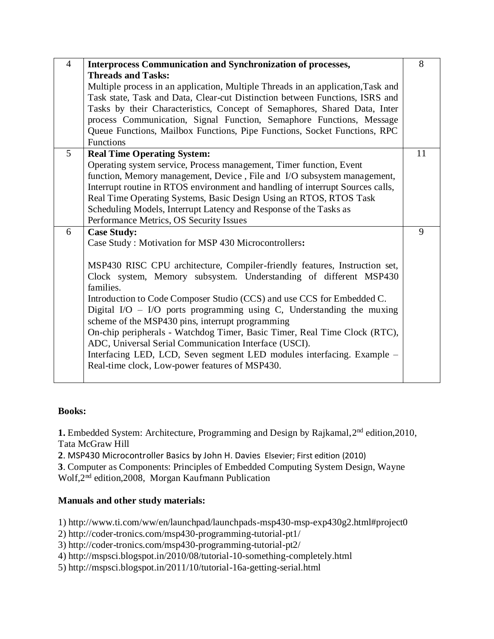| $\overline{4}$ | <b>Interprocess Communication and Synchronization of processes,</b>              | 8  |
|----------------|----------------------------------------------------------------------------------|----|
|                | <b>Threads and Tasks:</b>                                                        |    |
|                | Multiple process in an application, Multiple Threads in an application, Task and |    |
|                | Task state, Task and Data, Clear-cut Distinction between Functions, ISRS and     |    |
|                | Tasks by their Characteristics, Concept of Semaphores, Shared Data, Inter        |    |
|                | process Communication, Signal Function, Semaphore Functions, Message             |    |
|                | Queue Functions, Mailbox Functions, Pipe Functions, Socket Functions, RPC        |    |
|                | <b>Functions</b>                                                                 |    |
| 5              | <b>Real Time Operating System:</b>                                               | 11 |
|                | Operating system service, Process management, Timer function, Event              |    |
|                | function, Memory management, Device, File and I/O subsystem management,          |    |
|                | Interrupt routine in RTOS environment and handling of interrupt Sources calls,   |    |
|                | Real Time Operating Systems, Basic Design Using an RTOS, RTOS Task               |    |
|                | Scheduling Models, Interrupt Latency and Response of the Tasks as                |    |
|                | Performance Metrics, OS Security Issues                                          |    |
| 6              | <b>Case Study:</b>                                                               | 9  |
|                | Case Study: Motivation for MSP 430 Microcontrollers:                             |    |
|                |                                                                                  |    |
|                | MSP430 RISC CPU architecture, Compiler-friendly features, Instruction set,       |    |
|                | Clock system, Memory subsystem. Understanding of different MSP430                |    |
|                | families.                                                                        |    |
|                | Introduction to Code Composer Studio (CCS) and use CCS for Embedded C.           |    |
|                | Digital I/O $-$ I/O ports programming using C, Understanding the muxing          |    |
|                | scheme of the MSP430 pins, interrupt programming                                 |    |
|                | On-chip peripherals - Watchdog Timer, Basic Timer, Real Time Clock (RTC),        |    |
|                | ADC, Universal Serial Communication Interface (USCI).                            |    |
|                |                                                                                  |    |
|                | Interfacing LED, LCD, Seven segment LED modules interfacing. Example -           |    |
|                | Real-time clock, Low-power features of MSP430.                                   |    |
|                |                                                                                  |    |

## **Books:**

**1.** Embedded System: Architecture, Programming and Design by Rajkamal, 2<sup>nd</sup> edition, 2010, Tata McGraw Hill

**2**. MSP430 Microcontroller Basics by [John H. Davies](http://www.amazon.in/s/ref=dp_byline_sr_book_1?ie=UTF8&field-author=John+H.+Davies&search-alias=stripbooks) Elsevier; First edition (2010)

**3**. Computer as Components: Principles of Embedded Computing System Design, Wayne Wolf,2<sup>nd</sup> edition,2008, Morgan Kaufmann Publication

## **Manuals and other study materials:**

1) http://www.ti.com/ww/en/launchpad/launchpads-msp430-msp-exp430g2.html#project0

2) http://coder-tronics.com/msp430-programming-tutorial-pt1/

3) http://coder-tronics.com/msp430-programming-tutorial-pt2/

4) http://mspsci.blogspot.in/2010/08/tutorial-10-something-completely.html

5) http://mspsci.blogspot.in/2011/10/tutorial-16a-getting-serial.html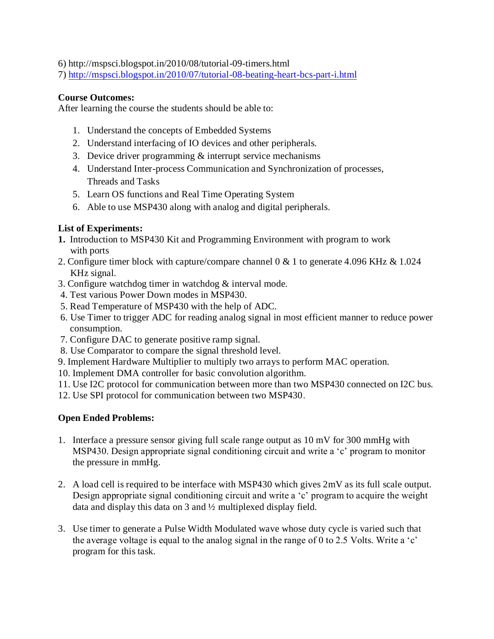6) http://mspsci.blogspot.in/2010/08/tutorial-09-timers.html

7)<http://mspsci.blogspot.in/2010/07/tutorial-08-beating-heart-bcs-part-i.html>

### **Course Outcomes:**

After learning the course the students should be able to:

- 1. Understand the concepts of Embedded Systems
- 2. Understand interfacing of IO devices and other peripherals.
- 3. Device driver programming  $&$  interrupt service mechanisms
- 4. Understand Inter-process Communication and Synchronization of processes, Threads and Tasks
- 5. Learn OS functions and Real Time Operating System
- 6. Able to use MSP430 along with analog and digital peripherals.

## **List of Experiments:**

- **1.** Introduction to MSP430 Kit and Programming Environment with program to work with ports
- 2. Configure timer block with capture/compare channel 0 & 1 to generate 4.096 KHz & 1.024 KHz signal.
- 3. Configure watchdog timer in watchdog & interval mode.
- 4. Test various Power Down modes in MSP430.
- 5. Read Temperature of MSP430 with the help of ADC.
- 6. Use Timer to trigger ADC for reading analog signal in most efficient manner to reduce power consumption.
- 7. Configure DAC to generate positive ramp signal.
- 8. Use Comparator to compare the signal threshold level.
- 9. Implement Hardware Multiplier to multiply two arrays to perform MAC operation.
- 10. Implement DMA controller for basic convolution algorithm.
- 11. Use I2C protocol for communication between more than two MSP430 connected on I2C bus.
- 12. Use SPI protocol for communication between two MSP430.

## **Open Ended Problems:**

- 1. Interface a pressure sensor giving full scale range output as 10 mV for 300 mmHg with MSP430. Design appropriate signal conditioning circuit and write a 'c' program to monitor the pressure in mmHg.
- 2. A load cell is required to be interface with MSP430 which gives 2mV as its full scale output. Design appropriate signal conditioning circuit and write a 'c' program to acquire the weight data and display this data on 3 and ½ multiplexed display field.
- 3. Use timer to generate a Pulse Width Modulated wave whose duty cycle is varied such that the average voltage is equal to the analog signal in the range of 0 to 2.5 Volts. Write a 'c' program for this task.